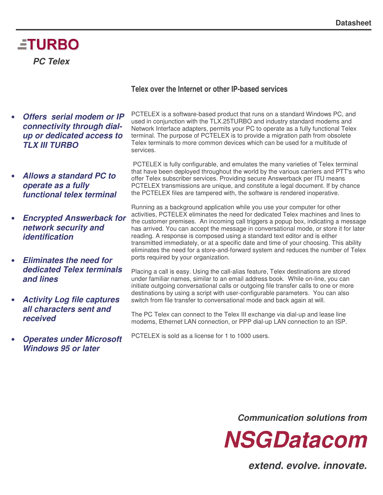# **ETURBO** *PC Telex*

#### • *Offers serial modem or IP connectivity through dialup or dedicated access to TLX III TURBO*

- *Allows a standard PC to operate as a fully functional telex terminal*
- *Encrypted Answerback for network security and identification*
- *Eliminates the need for dedicated Telex terminals and lines*
- *Activity Log file captures all characters sent and received*
- *Operates under Microsoft Windows 95 or later*

#### **Telex over the Internet or other IP-based services**

PCTELEX is a software-based product that runs on a standard Windows PC, and used in conjunction with the TLX.25TURBO and industry standard modems and Network Interface adapters, permits your PC to operate as a fully functional Telex terminal. The purpose of PCTELEX is to provide a migration path from obsolete Telex terminals to more common devices which can be used for a multitude of services.

PCTELEX is fully configurable, and emulates the many varieties of Telex terminal that have been deployed throughout the world by the various carriers and PTT's who offer Telex subscriber services. Providing secure Answerback per ITU means PCTELEX transmissions are unique, and constitute a legal document. If by chance the PCTELEX files are tampered with, the software is rendered inoperative.

Running as a background application while you use your computer for other activities, PCTELEX eliminates the need for dedicated Telex machines and lines to the customer premises. An incoming call triggers a popup box, indicating a message has arrived. You can accept the message in conversational mode, or store it for later reading. A response is composed using a standard text editor and is either transmitted immediately, or at a specific date and time of your choosing. This ability eliminates the need for a store-and-forward system and reduces the number of Telex ports required by your organization.

Placing a call is easy. Using the call-alias feature, Telex destinations are stored under familiar names, similar to an email address book. While on-line, you can initiate outgoing conversational calls or outgoing file transfer calls to one or more destinations by using a script with user-configurable parameters. You can also switch from file transfer to conversational mode and back again at will.

The PC Telex can connect to the Telex III exchange via dial-up and lease line modems, Ethernet LAN connection, or PPP dial-up LAN connection to an ISP.

PCTELEX is sold as a license for 1 to 1000 users.

*Communication solutions from*



*extend. evolve. innovate.*